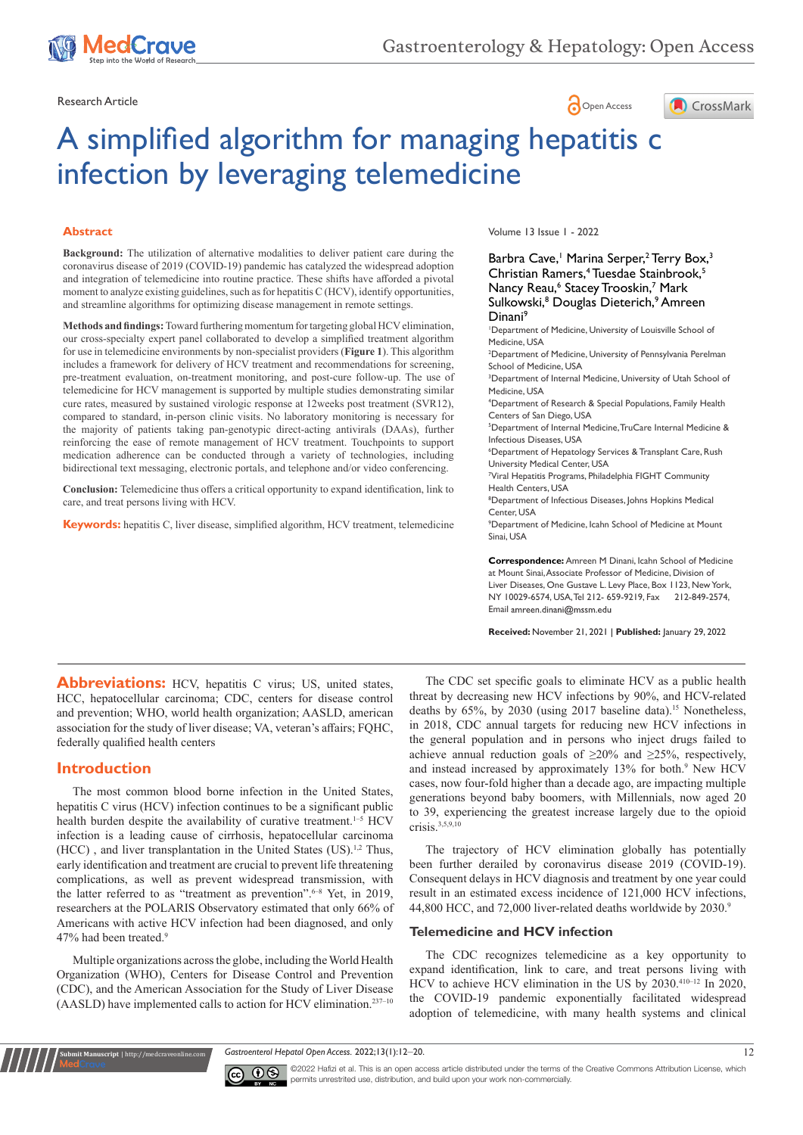

# Research Article **Contracts** Contracts and Contracts Contracts Contracts Contracts Contracts Contracts Open Access



# A simplified algorithm for managing hepatitis c infection by leveraging telemedicine

#### **Abstract**

**Background:** The utilization of alternative modalities to deliver patient care during the coronavirus disease of 2019 (COVID-19) pandemic has catalyzed the widespread adoption and integration of telemedicine into routine practice. These shifts have afforded a pivotal moment to analyze existing guidelines, such as for hepatitis C (HCV), identify opportunities, and streamline algorithms for optimizing disease management in remote settings.

**Methods and findings:** Toward furthering momentum for targeting global HCV elimination, our cross-specialty expert panel collaborated to develop a simplified treatment algorithm for use in telemedicine environments by non-specialist providers (**Figure 1**). This algorithm includes a framework for delivery of HCV treatment and recommendations for screening, pre-treatment evaluation, on-treatment monitoring, and post-cure follow-up. The use of telemedicine for HCV management is supported by multiple studies demonstrating similar cure rates, measured by sustained virologic response at 12weeks post treatment (SVR12), compared to standard, in-person clinic visits. No laboratory monitoring is necessary for the majority of patients taking pan-genotypic direct-acting antivirals (DAAs), further reinforcing the ease of remote management of HCV treatment. Touchpoints to support medication adherence can be conducted through a variety of technologies, including bidirectional text messaging, electronic portals, and telephone and/or video conferencing.

**Conclusion:** Telemedicine thus offers a critical opportunity to expand identification, link to care, and treat persons living with HCV.

**Keywords:** hepatitis C, liver disease, simplified algorithm, HCV treatment, telemedicine

Volume 13 Issue 1 - 2022

Barbra Cave,<sup>1</sup> Marina Serper,<sup>2</sup> Terry Box,<sup>3</sup> Christian Ramers,<sup>4</sup> Tuesdae Stainbrook,<sup>5</sup> Nancy Reau,<sup>6</sup> Stacey Trooskin,<sup>7</sup> Mark Sulkowski,<sup>8</sup> Douglas Dieterich,<sup>9</sup> Amreen Dinani<sup>9</sup>

1 Department of Medicine, University of Louisville School of Medicine, USA

2 Department of Medicine, University of Pennsylvania Perelman School of Medicine, USA

<sup>3</sup>Department of Internal Medicine, University of Utah School of Medicine, USA

4 Department of Research & Special Populations, Family Health Centers of San Diego, USA

5 Department of Internal Medicine, TruCare Internal Medicine & Infectious Diseases, USA

6 Department of Hepatology Services & Transplant Care, Rush University Medical Center, USA

7 Viral Hepatitis Programs, Philadelphia FIGHT Community Health Centers, USA

8 Department of Infectious Diseases, Johns Hopkins Medical Center, USA

9 Department of Medicine, Icahn School of Medicine at Mount Sinai, USA

**Correspondence:** Amreen M Dinani, Icahn School of Medicine at Mount Sinai, Associate Professor of Medicine, Division of Liver Diseases, One Gustave L. Levy Place, Box 1123, New York, NY 10029-6574, USA, Tel 212- 659-9219, Fax 212-849-2574, Email amreen.dinani@mssm.edu

**Received:** November 21, 2021 | **Published:** January 29, 2022

**Abbreviations:** HCV, hepatitis C virus; US, united states, HCC, hepatocellular carcinoma; CDC, centers for disease control and prevention; WHO, world health organization; AASLD, american association for the study of liver disease; VA, veteran's affairs; FQHC, federally qualified health centers

# **Introduction**

**it Manuscript** | http://medcraveonline.

The most common blood borne infection in the United States, hepatitis C virus (HCV) infection continues to be a significant public health burden despite the availability of curative treatment.<sup>1-5</sup> HCV infection is a leading cause of cirrhosis, hepatocellular carcinoma (HCC), and liver transplantation in the United States (US).<sup>1,2</sup> Thus, early identification and treatment are crucial to prevent life threatening complications, as well as prevent widespread transmission, with the latter referred to as "treatment as prevention".<sup>6-8</sup> Yet, in 2019, researchers at the POLARIS Observatory estimated that only 66% of Americans with active HCV infection had been diagnosed, and only 47% had been treated.9

Multiple organizations across the globe, including the World Health Organization (WHO), Centers for Disease Control and Prevention (CDC), and the American Association for the Study of Liver Disease (AASLD) have implemented calls to action for HCV elimination.237–10

The CDC set specific goals to eliminate HCV as a public health threat by decreasing new HCV infections by 90%, and HCV-related deaths by 65%, by 2030 (using 2017 baseline data).<sup>15</sup> Nonetheless, in 2018, CDC annual targets for reducing new HCV infections in the general population and in persons who inject drugs failed to achieve annual reduction goals of ≥20% and ≥25%, respectively, and instead increased by approximately 13% for both.<sup>9</sup> New HCV cases, now four-fold higher than a decade ago, are impacting multiple generations beyond baby boomers, with Millennials, now aged 20 to 39, experiencing the greatest increase largely due to the opioid crisis.3,5,9,10

The trajectory of HCV elimination globally has potentially been further derailed by coronavirus disease 2019 (COVID-19). Consequent delays in HCV diagnosis and treatment by one year could result in an estimated excess incidence of 121,000 HCV infections, 44,800 HCC, and 72,000 liver-related deaths worldwide by 2030.9

#### **Telemedicine and HCV infection**

The CDC recognizes telemedicine as a key opportunity to expand identification, link to care, and treat persons living with HCV to achieve HCV elimination in the US by 2030.410–12 In 2020, the COVID-19 pandemic exponentially facilitated widespread adoption of telemedicine, with many health systems and clinical

*Gastroenterol Hepatol Open Access.* 2022;13(1):12‒20. 12



©2022 Hafizi et al. This is an open access article distributed under the terms of the Creative Commons Attribution License, which permits unrestrited use, distribution, and build upon your work non-commercially.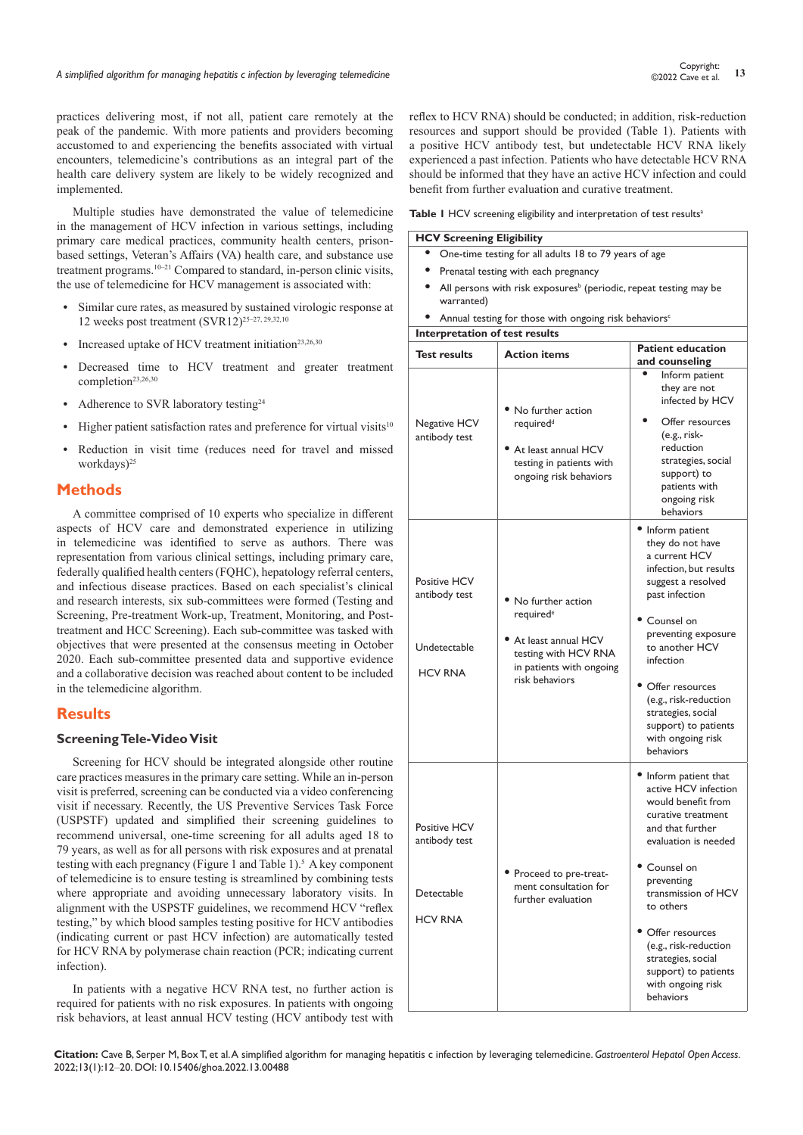practices delivering most, if not all, patient care remotely at the peak of the pandemic. With more patients and providers becoming accustomed to and experiencing the benefits associated with virtual encounters, telemedicine's contributions as an integral part of the health care delivery system are likely to be widely recognized and implemented.

Multiple studies have demonstrated the value of telemedicine in the management of HCV infection in various settings, including primary care medical practices, community health centers, prisonbased settings, Veteran's Affairs (VA) health care, and substance use treatment programs.<sup>10–21</sup> Compared to standard, in-person clinic visits, the use of telemedicine for HCV management is associated with:

- **•** Similar cure rates, as measured by sustained virologic response at 12 weeks post treatment (SVR12)25–27, 29,32,10
- Increased uptake of HCV treatment initiation<sup>23,26,30</sup>
- **•** Decreased time to HCV treatment and greater treatment completion<sup>23,26,30</sup>
- **•** Adherence to SVR laboratory testing24
- **Higher patient satisfaction rates and preference for virtual visits<sup>10</sup>**
- **•** Reduction in visit time (reduces need for travel and missed workdays)<sup>25</sup>

#### **Methods**

A committee comprised of 10 experts who specialize in different aspects of HCV care and demonstrated experience in utilizing in telemedicine was identified to serve as authors. There was representation from various clinical settings, including primary care, federally qualified health centers (FQHC), hepatology referral centers, and infectious disease practices. Based on each specialist's clinical and research interests, six sub-committees were formed (Testing and Screening, Pre-treatment Work-up, Treatment, Monitoring, and Posttreatment and HCC Screening). Each sub-committee was tasked with objectives that were presented at the consensus meeting in October 2020. Each sub-committee presented data and supportive evidence and a collaborative decision was reached about content to be included in the telemedicine algorithm.

# **Results**

#### **Screening Tele-Video Visit**

Screening for HCV should be integrated alongside other routine care practices measures in the primary care setting. While an in-person visit is preferred, screening can be conducted via a video conferencing visit if necessary. Recently, the US Preventive Services Task Force (USPSTF) updated and simplified their screening guidelines to recommend universal, one-time screening for all adults aged 18 to 79 years, as well as for all persons with risk exposures and at prenatal testing with each pregnancy (Figure 1 and Table  $1$ ).<sup>5</sup> A key component of telemedicine is to ensure testing is streamlined by combining tests where appropriate and avoiding unnecessary laboratory visits. In alignment with the USPSTF guidelines, we recommend HCV "reflex testing," by which blood samples testing positive for HCV antibodies (indicating current or past HCV infection) are automatically tested for HCV RNA by polymerase chain reaction (PCR; indicating current infection).

In patients with a negative HCV RNA test, no further action is required for patients with no risk exposures. In patients with ongoing risk behaviors, at least annual HCV testing (HCV antibody test with reflex to HCV RNA) should be conducted; in addition, risk-reduction resources and support should be provided (Table 1). Patients with a positive HCV antibody test, but undetectable HCV RNA likely experienced a past infection. Patients who have detectable HCV RNA should be informed that they have an active HCV infection and could benefit from further evaluation and curative treatment.

Table I HCV screening eligibility and interpretation of test results<sup>a</sup>

**HCV Screening Eligibility**

- **•** One-time testing for all adults 18 to 79 years of age
- **•** Prenatal testing with each pregnancy
- All persons with risk exposures<sup>b</sup> (periodic, repeat testing may be warranted)
- Annual testing for those with ongoing risk behaviors<sup>c</sup>

**Interpretation of test results Test results Action items Patient education and counseling** Negative HCV antibody test **•** No further action required<sup>d</sup> **•** At least annual HCV testing in patients with ongoing risk behaviors **•** Inform patient they are not infected by HCV **•** Offer resources (e.g., riskreduction strategies, social support) to patients with ongoing risk behaviors Positive HCV antibody test Undetectable HCV RNA **•** No further action requirede **•** At least annual HCV testing with HCV RNA in patients with ongoing risk behaviors **•** Inform patient they do not have a current HCV infection, but results suggest a resolved past infection **•** Counsel on preventing exposure to another HCV infection **•** Offer resources (e.g., risk-reduction strategies, social support) to patients with ongoing risk behaviors Positive HCV antibody test **Detectable** HCV RNA **•** Proceed to pre-treatment consultation for further evaluation **•** Inform patient that active HCV infection would benefit from curative treatment and that further evaluation is needed **•** Counsel on preventing transmission of HCV to others **•** Offer resources (e.g., risk-reduction strategies, social support) to patients with ongoing risk behaviors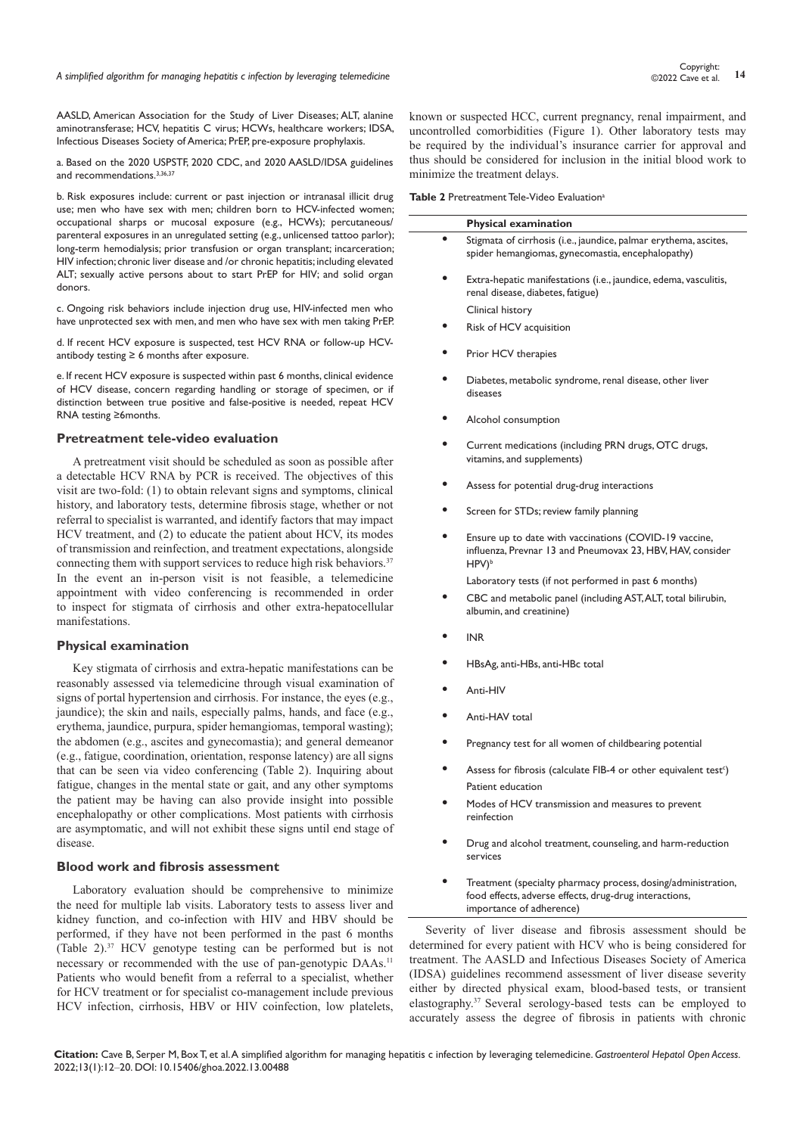AASLD, American Association for the Study of Liver Diseases; ALT, alanine aminotransferase; HCV, hepatitis C virus; HCWs, healthcare workers; IDSA, Infectious Diseases Society of America; PrEP, pre-exposure prophylaxis.

a. Based on the 2020 USPSTF, 2020 CDC, and 2020 AASLD/IDSA guidelines and recommendations.<sup>3,36,37</sup>

b. Risk exposures include: current or past injection or intranasal illicit drug use; men who have sex with men; children born to HCV-infected women; occupational sharps or mucosal exposure (e.g., HCWs); percutaneous/ parenteral exposures in an unregulated setting (e.g., unlicensed tattoo parlor); long-term hemodialysis; prior transfusion or organ transplant; incarceration; HIV infection; chronic liver disease and /or chronic hepatitis; including elevated ALT; sexually active persons about to start PrEP for HIV; and solid organ donors.

c. Ongoing risk behaviors include injection drug use, HIV-infected men who have unprotected sex with men, and men who have sex with men taking PrEP.

d. If recent HCV exposure is suspected, test HCV RNA or follow-up HCVantibody testing  $\geq 6$  months after exposure.

e. If recent HCV exposure is suspected within past 6 months, clinical evidence of HCV disease, concern regarding handling or storage of specimen, or if distinction between true positive and false-positive is needed, repeat HCV RNA testing ≥6months.

#### **Pretreatment tele-video evaluation**

A pretreatment visit should be scheduled as soon as possible after a detectable HCV RNA by PCR is received. The objectives of this visit are two-fold: (1) to obtain relevant signs and symptoms, clinical history, and laboratory tests, determine fibrosis stage, whether or not referral to specialist is warranted, and identify factors that may impact HCV treatment, and (2) to educate the patient about HCV, its modes of transmission and reinfection, and treatment expectations, alongside connecting them with support services to reduce high risk behaviors.<sup>37</sup> In the event an in-person visit is not feasible, a telemedicine appointment with video conferencing is recommended in order to inspect for stigmata of cirrhosis and other extra-hepatocellular manifestations.

#### **Physical examination**

Key stigmata of cirrhosis and extra-hepatic manifestations can be reasonably assessed via telemedicine through visual examination of signs of portal hypertension and cirrhosis. For instance, the eyes (e.g., jaundice); the skin and nails, especially palms, hands, and face (e.g., erythema, jaundice, purpura, spider hemangiomas, temporal wasting); the abdomen (e.g., ascites and gynecomastia); and general demeanor (e.g., fatigue, coordination, orientation, response latency) are all signs that can be seen via video conferencing (Table 2). Inquiring about fatigue, changes in the mental state or gait, and any other symptoms the patient may be having can also provide insight into possible encephalopathy or other complications. Most patients with cirrhosis are asymptomatic, and will not exhibit these signs until end stage of disease.

#### **Blood work and fibrosis assessment**

Laboratory evaluation should be comprehensive to minimize the need for multiple lab visits. Laboratory tests to assess liver and kidney function, and co-infection with HIV and HBV should be performed, if they have not been performed in the past 6 months (Table 2).37 HCV genotype testing can be performed but is not necessary or recommended with the use of pan-genotypic DAAs.<sup>11</sup> Patients who would benefit from a referral to a specialist, whether for HCV treatment or for specialist co-management include previous HCV infection, cirrhosis, HBV or HIV coinfection, low platelets,

known or suspected HCC, current pregnancy, renal impairment, and uncontrolled comorbidities (Figure 1). Other laboratory tests may be required by the individual's insurance carrier for approval and thus should be considered for inclusion in the initial blood work to minimize the treatment delays.

**Table 2** Pretreatment Tele-Video Evaluation<sup>a</sup>

| <b>Physical examination</b>                                                                                                               |
|-------------------------------------------------------------------------------------------------------------------------------------------|
| Stigmata of cirrhosis (i.e., jaundice, palmar erythema, ascites,<br>spider hemangiomas, gynecomastia, encephalopathy)                     |
| Extra-hepatic manifestations (i.e., jaundice, edema, vasculitis,<br>renal disease, diabetes, fatigue)                                     |
| Clinical history                                                                                                                          |
| Risk of HCV acquisition                                                                                                                   |
| Prior HCV therapies                                                                                                                       |
| Diabetes, metabolic syndrome, renal disease, other liver<br>diseases                                                                      |
| Alcohol consumption                                                                                                                       |
| Current medications (including PRN drugs, OTC drugs,<br>vitamins, and supplements)                                                        |
| Assess for potential drug-drug interactions                                                                                               |
| Screen for STDs; review family planning                                                                                                   |
| Ensure up to date with vaccinations (COVID-19 vaccine,<br>influenza, Prevnar 13 and Pneumovax 23, HBV, HAV, consider<br>HPV) <sup>b</sup> |

Laboratory tests (if not performed in past 6 months)

- **•** CBC and metabolic panel (including AST, ALT, total bilirubin, albumin, and creatinine)
- **•** INR
- **•** HBsAg, anti-HBs, anti-HBc total
- **•** Anti-HIV
- **•** Anti-HAV total
- **•** Pregnancy test for all women of childbearing potential
- Assess for fibrosis (calculate FIB-4 or other equivalent test<sup>c</sup>) Patient education
- **•** Modes of HCV transmission and measures to prevent reinfection
- **•** Drug and alcohol treatment, counseling, and harm-reduction services
- **•** Treatment (specialty pharmacy process, dosing/administration, food effects, adverse effects, drug-drug interactions, importance of adherence)

Severity of liver disease and fibrosis assessment should be determined for every patient with HCV who is being considered for treatment. The AASLD and Infectious Diseases Society of America (IDSA) guidelines recommend assessment of liver disease severity either by directed physical exam, blood-based tests, or transient elastography.37 Several serology-based tests can be employed to accurately assess the degree of fibrosis in patients with chronic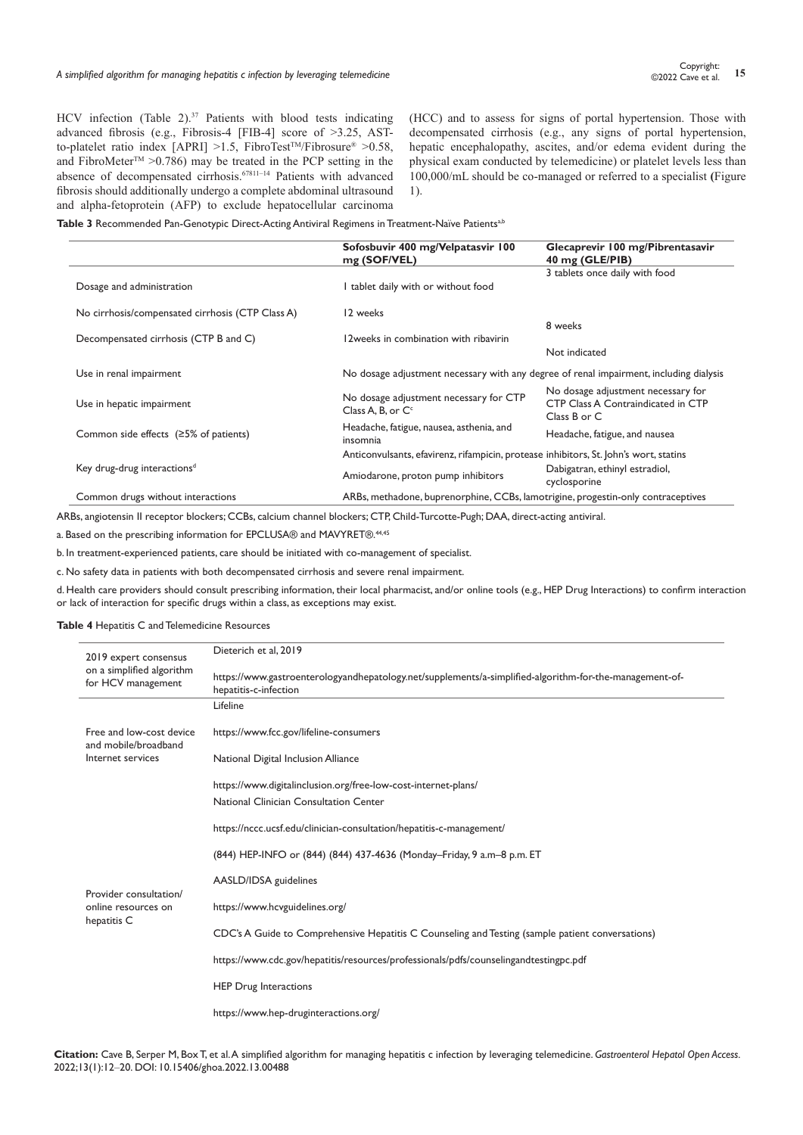HCV infection (Table 2).<sup>37</sup> Patients with blood tests indicating advanced fibrosis (e.g., Fibrosis-4 [FIB-4] score of >3.25, ASTto-platelet ratio index [APRI] >1.5, FibroTest<sup>TM</sup>/Fibrosure<sup>®</sup> >0.58, and FibroMeter<sup>TM</sup> > 0.786) may be treated in the PCP setting in the absence of decompensated cirrhosis.<sup>67811–14</sup> Patients with advanced fibrosis should additionally undergo a complete abdominal ultrasound and alpha-fetoprotein (AFP) to exclude hepatocellular carcinoma

(HCC) and to assess for signs of portal hypertension. Those with decompensated cirrhosis (e.g., any signs of portal hypertension, hepatic encephalopathy, ascites, and/or edema evident during the physical exam conducted by telemedicine) or platelet levels less than 100,000/mL should be co-managed or referred to a specialist **(**Figure 1).

Table 3 Recommended Pan-Genotypic Direct-Acting Antiviral Regimens in Treatment-Naïve Patients<sup>a,b</sup>

|                                                  | Sofosbuvir 400 mg/Velpatasvir 100<br>mg (SOF/VEL)                                      | Glecaprevir 100 mg/Pibrentasavir<br>40 mg (GLE/PIB)                                      |
|--------------------------------------------------|----------------------------------------------------------------------------------------|------------------------------------------------------------------------------------------|
|                                                  |                                                                                        | 3 tablets once daily with food                                                           |
| Dosage and administration                        | I tablet daily with or without food                                                    |                                                                                          |
| No cirrhosis/compensated cirrhosis (CTP Class A) | 12 weeks                                                                               |                                                                                          |
|                                                  |                                                                                        | 8 weeks                                                                                  |
| Decompensated cirrhosis (CTP B and C)            | 12 weeks in combination with ribavirin                                                 |                                                                                          |
|                                                  |                                                                                        | Not indicated                                                                            |
| Use in renal impairment                          | No dosage adjustment necessary with any degree of renal impairment, including dialysis |                                                                                          |
| Use in hepatic impairment                        | No dosage adjustment necessary for CTP<br>Class A, B, or C <sup>c</sup>                | No dosage adjustment necessary for<br>CTP Class A Contraindicated in CTP<br>Class B or C |
| Common side effects $(25\% \text{ of patients})$ | Headache, fatigue, nausea, asthenia, and<br>insomnia                                   | Headache, fatigue, and nausea                                                            |
|                                                  | Anticonvulsants, efavirenz, rifampicin, protease inhibitors, St. John's wort, statins  |                                                                                          |
| Key drug-drug interactions <sup>d</sup>          | Amiodarone, proton pump inhibitors                                                     | Dabigatran, ethinyl estradiol,<br>cyclosporine                                           |
| Common drugs without interactions                | ARBs, methadone, buprenorphine, CCBs, lamotrigine, progestin-only contraceptives       |                                                                                          |

ARBs, angiotensin II receptor blockers; CCBs, calcium channel blockers; CTP, Child-Turcotte-Pugh; DAA, direct-acting antiviral.

a. Based on the prescribing information for EPCLUSA® and MAVYRET®.<sup>44,45</sup>

b. In treatment-experienced patients, care should be initiated with co-management of specialist.

c. No safety data in patients with both decompensated cirrhosis and severe renal impairment.

d. Health care providers should consult prescribing information, their local pharmacist, and/or online tools (e.g., HEP Drug Interactions) to confirm interaction or lack of interaction for specific drugs within a class, as exceptions may exist.

# **Table 4** Hepatitis C and Telemedicine Resources

| 2019 expert consensus                            | Dieterich et al, 2019                                                                                                            |
|--------------------------------------------------|----------------------------------------------------------------------------------------------------------------------------------|
| on a simplified algorithm<br>for HCV management  | https://www.gastroenterologyandhepatology.net/supplements/a-simplified-algorithm-for-the-management-of-<br>hepatitis-c-infection |
|                                                  | Lifeline                                                                                                                         |
| Free and low-cost device<br>and mobile/broadband | https://www.fcc.gov/lifeline-consumers                                                                                           |
| Internet services                                | National Digital Inclusion Alliance                                                                                              |
|                                                  | https://www.digitalinclusion.org/free-low-cost-internet-plans/                                                                   |
|                                                  | National Clinician Consultation Center                                                                                           |
|                                                  | https://nccc.ucsf.edu/clinician-consultation/hepatitis-c-management/                                                             |
|                                                  | (844) HEP-INFO or (844) (844) 437-4636 (Monday-Friday, 9 a.m-8 p.m. ET                                                           |
| Provider consultation/                           | AASLD/IDSA guidelines                                                                                                            |
| online resources on<br>hepatitis C               | https://www.hcvguidelines.org/                                                                                                   |
|                                                  | CDC's A Guide to Comprehensive Hepatitis C Counseling and Testing (sample patient conversations)                                 |
|                                                  | https://www.cdc.gov/hepatitis/resources/professionals/pdfs/counselingandtestingpc.pdf                                            |
|                                                  | <b>HEP Drug Interactions</b>                                                                                                     |
|                                                  | https://www.hep-druginteractions.org/                                                                                            |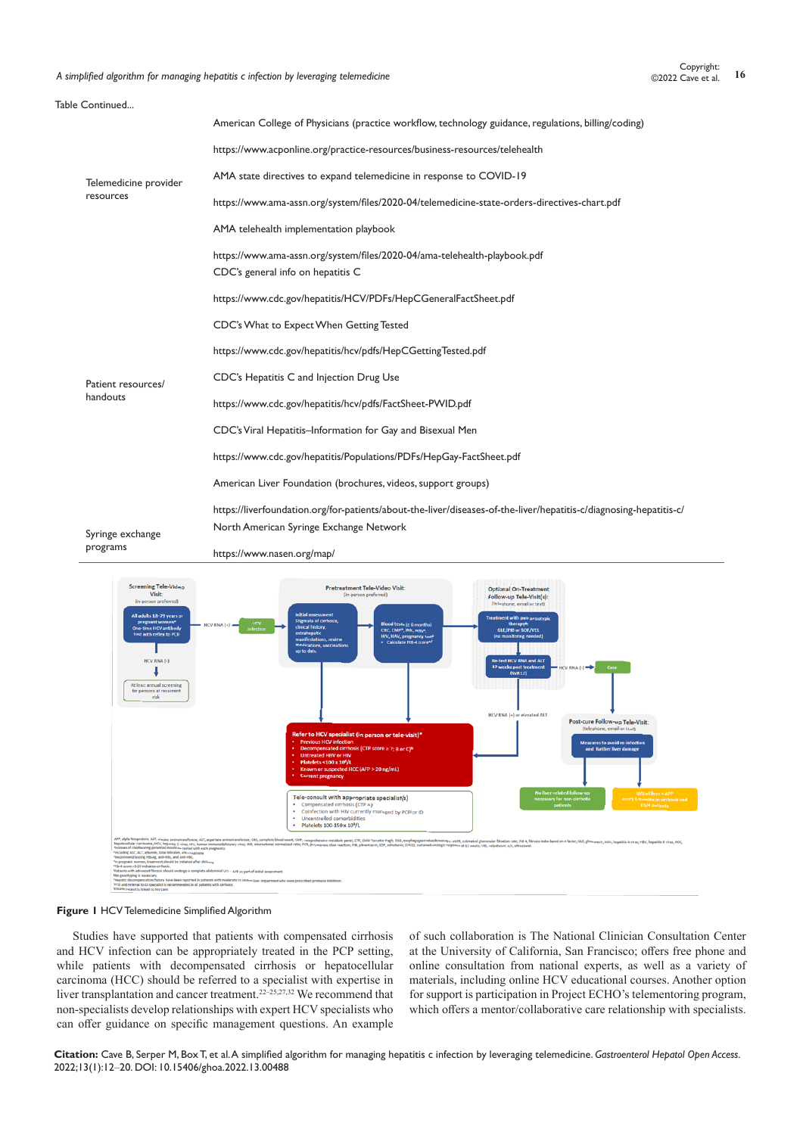A simplified algorithm for managing hepatitis c infection by leveraging telemedicine **16** Copyright: <sup>16</sup> Copyright: <sup>16</sup> Copyright: <sup>16</sup> Copyright: <sup>16</sup> Copyright: <sup>16</sup> Context of the stal. <sup>16</sup> Context of the state of th

| Table Continued       |                                                                                                                    |
|-----------------------|--------------------------------------------------------------------------------------------------------------------|
|                       | American College of Physicians (practice workflow, technology guidance, regulations, billing/coding)               |
|                       | https://www.acponline.org/practice-resources/business-resources/telehealth                                         |
| Telemedicine provider | AMA state directives to expand telemedicine in response to COVID-19                                                |
| resources             | https://www.ama-assn.org/system/files/2020-04/telemedicine-state-orders-directives-chart.pdf                       |
|                       | AMA telehealth implementation playbook                                                                             |
|                       | https://www.ama-assn.org/system/files/2020-04/ama-telehealth-playbook.pdf<br>CDC's general info on hepatitis C     |
|                       | https://www.cdc.gov/hepatitis/HCV/PDFs/HepCGeneralFactSheet.pdf                                                    |
|                       | CDC's What to Expect When Getting Tested                                                                           |
|                       | https://www.cdc.gov/hepatitis/hcv/pdfs/HepCGettingTested.pdf                                                       |
| Patient resources/    | CDC's Hepatitis C and Injection Drug Use                                                                           |
| handouts              | https://www.cdc.gov/hepatitis/hcv/pdfs/FactSheet-PWID.pdf                                                          |
|                       | CDC's Viral Hepatitis-Information for Gay and Bisexual Men                                                         |
|                       | https://www.cdc.gov/hepatitis/Populations/PDFs/HepGay-FactSheet.pdf                                                |
|                       | American Liver Foundation (brochures, videos, support groups)                                                      |
|                       | https://liverfoundation.org/for-patients/about-the-liver/diseases-of-the-liver/hepatitis-c/diagnosing-hepatitis-c/ |
| Syringe exchange      | North American Syringe Exchange Network                                                                            |
| programs              | https://www.nasen.org/map/                                                                                         |



#### **Figure 1** HCV Telemedicine Simplified Algorithm

Studies have supported that patients with compensated cirrhosis and HCV infection can be appropriately treated in the PCP setting, while patients with decompensated cirrhosis or hepatocellular carcinoma (HCC) should be referred to a specialist with expertise in liver transplantation and cancer treatment.<sup>22–25,27,32</sup> We recommend that non-specialists develop relationships with expert HCV specialists who can offer guidance on specific management questions. An example of such collaboration is The National Clinician Consultation Center at the University of California, San Francisco; offers free phone and online consultation from national experts, as well as a variety of materials, including online HCV educational courses. Another option for support is participation in Project ECHO's telementoring program, which offers a mentor/collaborative care relationship with specialists.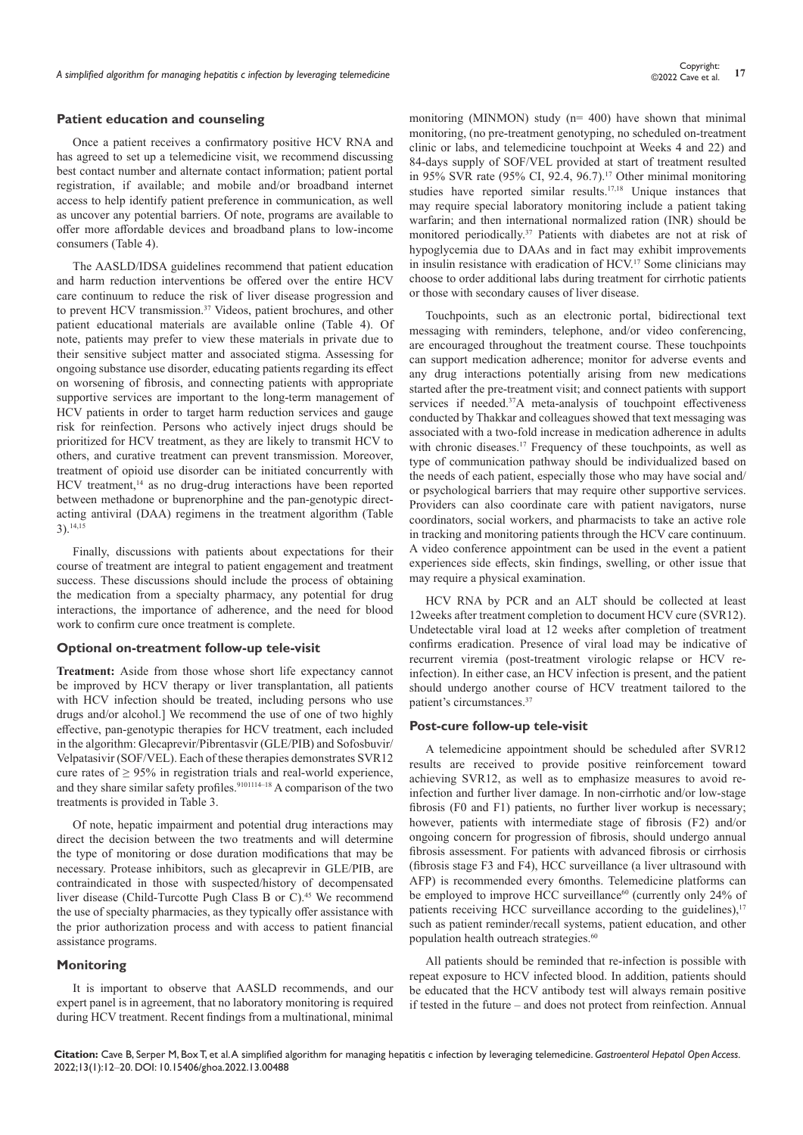#### **Patient education and counseling**

Once a patient receives a confirmatory positive HCV RNA and has agreed to set up a telemedicine visit, we recommend discussing best contact number and alternate contact information; patient portal registration, if available; and mobile and/or broadband internet access to help identify patient preference in communication, as well as uncover any potential barriers. Of note, programs are available to offer more affordable devices and broadband plans to low-income consumers (Table 4).

The AASLD/IDSA guidelines recommend that patient education and harm reduction interventions be offered over the entire HCV care continuum to reduce the risk of liver disease progression and to prevent HCV transmission.<sup>37</sup> Videos, patient brochures, and other patient educational materials are available online (Table 4). Of note, patients may prefer to view these materials in private due to their sensitive subject matter and associated stigma. Assessing for ongoing substance use disorder, educating patients regarding its effect on worsening of fibrosis, and connecting patients with appropriate supportive services are important to the long-term management of HCV patients in order to target harm reduction services and gauge risk for reinfection. Persons who actively inject drugs should be prioritized for HCV treatment, as they are likely to transmit HCV to others, and curative treatment can prevent transmission. Moreover, treatment of opioid use disorder can be initiated concurrently with HCV treatment,<sup>14</sup> as no drug-drug interactions have been reported between methadone or buprenorphine and the pan-genotypic directacting antiviral (DAA) regimens in the treatment algorithm (Table  $3)$ . 14,15

Finally, discussions with patients about expectations for their course of treatment are integral to patient engagement and treatment success. These discussions should include the process of obtaining the medication from a specialty pharmacy, any potential for drug interactions, the importance of adherence, and the need for blood work to confirm cure once treatment is complete.

#### **Optional on-treatment follow-up tele-visit**

**Treatment:** Aside from those whose short life expectancy cannot be improved by HCV therapy or liver transplantation, all patients with HCV infection should be treated, including persons who use drugs and/or alcohol.] We recommend the use of one of two highly effective, pan-genotypic therapies for HCV treatment, each included in the algorithm: Glecaprevir/Pibrentasvir (GLE/PIB) and Sofosbuvir/ Velpatasivir (SOF/VEL). Each of these therapies demonstrates SVR12 cure rates of  $\geq$  95% in registration trials and real-world experience, and they share similar safety profiles.<sup>9101114–18</sup> A comparison of the two treatments is provided in Table 3.

Of note, hepatic impairment and potential drug interactions may direct the decision between the two treatments and will determine the type of monitoring or dose duration modifications that may be necessary. Protease inhibitors, such as glecaprevir in GLE/PIB, are contraindicated in those with suspected/history of decompensated liver disease (Child-Turcotte Pugh Class B or C).<sup>45</sup> We recommend the use of specialty pharmacies, as they typically offer assistance with the prior authorization process and with access to patient financial assistance programs.

#### **Monitoring**

It is important to observe that AASLD recommends, and our expert panel is in agreement, that no laboratory monitoring is required during HCV treatment. Recent findings from a multinational, minimal

monitoring (MINMON) study (n= 400) have shown that minimal monitoring, (no pre-treatment genotyping, no scheduled on-treatment clinic or labs, and telemedicine touchpoint at Weeks 4 and 22) and 84-days supply of SOF/VEL provided at start of treatment resulted in 95% SVR rate (95% CI, 92.4, 96.7).<sup>17</sup> Other minimal monitoring studies have reported similar results.17,18 Unique instances that may require special laboratory monitoring include a patient taking warfarin; and then international normalized ration (INR) should be monitored periodically.37 Patients with diabetes are not at risk of hypoglycemia due to DAAs and in fact may exhibit improvements in insulin resistance with eradication of HCV.17 Some clinicians may choose to order additional labs during treatment for cirrhotic patients or those with secondary causes of liver disease.

Touchpoints, such as an electronic portal, bidirectional text messaging with reminders, telephone, and/or video conferencing, are encouraged throughout the treatment course. These touchpoints can support medication adherence; monitor for adverse events and any drug interactions potentially arising from new medications started after the pre-treatment visit; and connect patients with support services if needed.37A meta-analysis of touchpoint effectiveness conducted by Thakkar and colleagues showed that text messaging was associated with a two-fold increase in medication adherence in adults with chronic diseases.<sup>17</sup> Frequency of these touchpoints, as well as type of communication pathway should be individualized based on the needs of each patient, especially those who may have social and/ or psychological barriers that may require other supportive services. Providers can also coordinate care with patient navigators, nurse coordinators, social workers, and pharmacists to take an active role in tracking and monitoring patients through the HCV care continuum. A video conference appointment can be used in the event a patient experiences side effects, skin findings, swelling, or other issue that may require a physical examination.

HCV RNA by PCR and an ALT should be collected at least 12weeks after treatment completion to document HCV cure (SVR12). Undetectable viral load at 12 weeks after completion of treatment confirms eradication. Presence of viral load may be indicative of recurrent viremia (post-treatment virologic relapse or HCV reinfection). In either case, an HCV infection is present, and the patient should undergo another course of HCV treatment tailored to the patient's circumstances.37

#### **Post-cure follow-up tele-visit**

A telemedicine appointment should be scheduled after SVR12 results are received to provide positive reinforcement toward achieving SVR12, as well as to emphasize measures to avoid reinfection and further liver damage. In non-cirrhotic and/or low-stage fibrosis (F0 and F1) patients, no further liver workup is necessary; however, patients with intermediate stage of fibrosis (F2) and/or ongoing concern for progression of fibrosis, should undergo annual fibrosis assessment. For patients with advanced fibrosis or cirrhosis (fibrosis stage F3 and F4), HCC surveillance (a liver ultrasound with AFP) is recommended every 6months. Telemedicine platforms can be employed to improve HCC surveillance<sup>60</sup> (currently only 24% of patients receiving HCC surveillance according to the guidelines), $17$ such as patient reminder/recall systems, patient education, and other population health outreach strategies.<sup>60</sup>

All patients should be reminded that re-infection is possible with repeat exposure to HCV infected blood. In addition, patients should be educated that the HCV antibody test will always remain positive if tested in the future – and does not protect from reinfection. Annual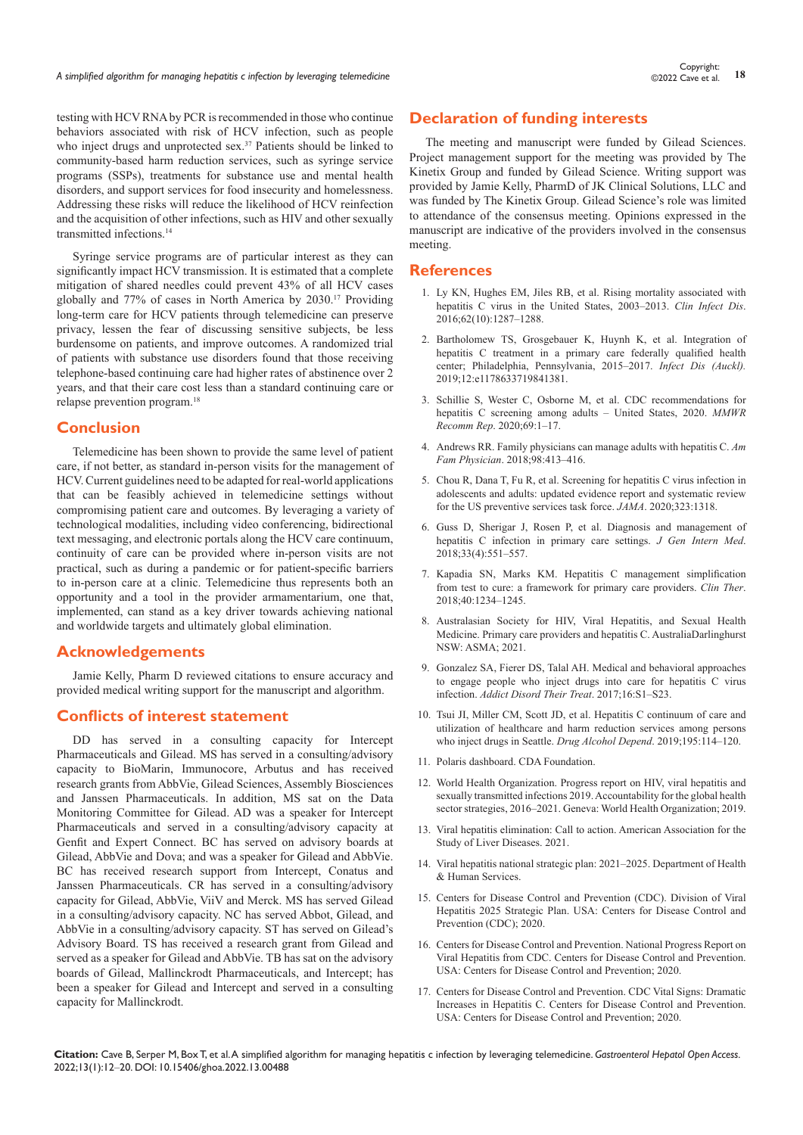testing with HCV RNA by PCR is recommended in those who continue behaviors associated with risk of HCV infection, such as people who inject drugs and unprotected sex.<sup>37</sup> Patients should be linked to community-based harm reduction services, such as syringe service programs (SSPs), treatments for substance use and mental health disorders, and support services for food insecurity and homelessness. Addressing these risks will reduce the likelihood of HCV reinfection and the acquisition of other infections, such as HIV and other sexually transmitted infections.14

Syringe service programs are of particular interest as they can significantly impact HCV transmission. It is estimated that a complete mitigation of shared needles could prevent 43% of all HCV cases globally and 77% of cases in North America by 2030.17 Providing long-term care for HCV patients through telemedicine can preserve privacy, lessen the fear of discussing sensitive subjects, be less burdensome on patients, and improve outcomes. A randomized trial of patients with substance use disorders found that those receiving telephone-based continuing care had higher rates of abstinence over 2 years, and that their care cost less than a standard continuing care or relapse prevention program.18

#### **Conclusion**

Telemedicine has been shown to provide the same level of patient care, if not better, as standard in-person visits for the management of HCV. Current guidelines need to be adapted for real-world applications that can be feasibly achieved in telemedicine settings without compromising patient care and outcomes. By leveraging a variety of technological modalities, including video conferencing, bidirectional text messaging, and electronic portals along the HCV care continuum, continuity of care can be provided where in-person visits are not practical, such as during a pandemic or for patient-specific barriers to in-person care at a clinic. Telemedicine thus represents both an opportunity and a tool in the provider armamentarium, one that, implemented, can stand as a key driver towards achieving national and worldwide targets and ultimately global elimination.

#### **Acknowledgements**

Jamie Kelly, Pharm D reviewed citations to ensure accuracy and provided medical writing support for the manuscript and algorithm.

# **Conflicts of interest statement**

DD has served in a consulting capacity for Intercept Pharmaceuticals and Gilead. MS has served in a consulting/advisory capacity to BioMarin, Immunocore, Arbutus and has received research grants from AbbVie, Gilead Sciences, Assembly Biosciences and Janssen Pharmaceuticals. In addition, MS sat on the Data Monitoring Committee for Gilead. AD was a speaker for Intercept Pharmaceuticals and served in a consulting/advisory capacity at Genfit and Expert Connect. BC has served on advisory boards at Gilead, AbbVie and Dova; and was a speaker for Gilead and AbbVie. BC has received research support from Intercept, Conatus and Janssen Pharmaceuticals. CR has served in a consulting/advisory capacity for Gilead, AbbVie, ViiV and Merck. MS has served Gilead in a consulting/advisory capacity. NC has served Abbot, Gilead, and AbbVie in a consulting/advisory capacity. ST has served on Gilead's Advisory Board. TS has received a research grant from Gilead and served as a speaker for Gilead and AbbVie. TB has sat on the advisory boards of Gilead, Mallinckrodt Pharmaceuticals, and Intercept; has been a speaker for Gilead and Intercept and served in a consulting capacity for Mallinckrodt.

## **Declaration of funding interests**

The meeting and manuscript were funded by Gilead Sciences. Project management support for the meeting was provided by The Kinetix Group and funded by Gilead Science. Writing support was provided by Jamie Kelly, PharmD of JK Clinical Solutions, LLC and was funded by The Kinetix Group. Gilead Science's role was limited to attendance of the consensus meeting. Opinions expressed in the manuscript are indicative of the providers involved in the consensus meeting.

#### **References**

- 1. [Ly KN, Hughes EM, Jiles RB, et al. Rising mortality associated with](https://pubmed.ncbi.nlm.nih.gov/26936668/)  [hepatitis C virus in the United States, 2003–2013.](https://pubmed.ncbi.nlm.nih.gov/26936668/) *Clin Infect Dis*. [2016;62\(10\):1287–1288.](https://pubmed.ncbi.nlm.nih.gov/26936668/)
- 2. [Bartholomew TS, Grosgebauer K, Huynh K, et al. Integration of](https://pubmed.ncbi.nlm.nih.gov/31065216/)  [hepatitis C treatment in a primary care federally qualified health](https://pubmed.ncbi.nlm.nih.gov/31065216/)  [center; Philadelphia, Pennsylvania, 2015–2017.](https://pubmed.ncbi.nlm.nih.gov/31065216/) *Infect Dis (Auckl).* [2019;12:e1178633719841381.](https://pubmed.ncbi.nlm.nih.gov/31065216/)
- 3. [Schillie S, Wester C, Osborne M, et al. CDC recommendations for](https://pubmed.ncbi.nlm.nih.gov/32271723/)  [hepatitis C screening among adults – United States, 2020.](https://pubmed.ncbi.nlm.nih.gov/32271723/) *MMWR Recomm Rep*[. 2020;69:1–17.](https://pubmed.ncbi.nlm.nih.gov/32271723/)
- 4. [Andrews RR. Family physicians can manage adults with hepatitis C.](https://pubmed.ncbi.nlm.nih.gov/30252423/) *Am Fam Physician*[. 2018;98:413–416.](https://pubmed.ncbi.nlm.nih.gov/30252423/)
- 5. Chou R, Dana T, Fu R, et al. [Screening for hepatitis C virus infection in](https://pubmed.ncbi.nlm.nih.gov/32119034/)  [adolescents and adults: updated evidence report and systematic review](https://pubmed.ncbi.nlm.nih.gov/32119034/)  [for the US preventive services task force.](https://pubmed.ncbi.nlm.nih.gov/32119034/) *JAMA*. 2020;323:1318.
- 6. [Guss D, Sherigar J, Rosen P, et al. Diagnosis and management of](https://pubmed.ncbi.nlm.nih.gov/29352420/)  [hepatitis C infection in primary care settings.](https://pubmed.ncbi.nlm.nih.gov/29352420/) *J Gen Intern Med*. [2018;33\(4\):551–557.](https://pubmed.ncbi.nlm.nih.gov/29352420/)
- 7. [Kapadia SN, Marks KM. Hepatitis C management simplification](https://pubmed.ncbi.nlm.nih.gov/29983266/)  [from test to cure: a framework for primary care providers.](https://pubmed.ncbi.nlm.nih.gov/29983266/) *Clin Ther*. [2018;40:1234–1245.](https://pubmed.ncbi.nlm.nih.gov/29983266/)
- 8. [Australasian Society for HIV, Viral Hepatitis, and Sexual Health](https://www.ashm.org.au/products/product/978-1-920773-42-7)  [Medicine. Primary care providers and hepatitis C. AustraliaDarlinghurst](https://www.ashm.org.au/products/product/978-1-920773-42-7)  [NSW: ASMA; 2021.](https://www.ashm.org.au/products/product/978-1-920773-42-7)
- 9. [Gonzalez SA, Fierer DS, Talal AH. Medical and behavioral approaches](https://pubmed.ncbi.nlm.nih.gov/28701904/)  [to engage people who inject drugs into care for hepatitis C virus](https://pubmed.ncbi.nlm.nih.gov/28701904/)  infection. *[Addict Disord Their Treat](https://pubmed.ncbi.nlm.nih.gov/28701904/)*. 2017;16:S1–S23.
- 10. [Tsui JI, Miller CM, Scott JD, et al. Hepatitis C continuum of care and](https://pubmed.ncbi.nlm.nih.gov/30611979/)  [utilization of healthcare and harm reduction services among persons](https://pubmed.ncbi.nlm.nih.gov/30611979/)  [who inject drugs in Seattle.](https://pubmed.ncbi.nlm.nih.gov/30611979/) *Drug Alcohol Depend*. 2019;195:114–120.
- 11. [Polaris dashboard. CDA Foundation.](https://cdafound.org/dashboard/polaris/dashboard.html)
- 12. [World Health Organization. Progress report on HIV, viral hepatitis and](https://www.who.int/publications/i/item/9789240027077)  [sexually transmitted infections 2019. Accountability for the global health](https://www.who.int/publications/i/item/9789240027077)  [sector strategies, 2016–2021. Geneva: World Health Organization; 2019.](https://www.who.int/publications/i/item/9789240027077)
- 13. [Viral hepatitis elimination: Call to action. American Association for the](https://www.aasld.org/programs-initiatives/viral-hepatitis-elimination-call-action)  [Study of Liver Diseases. 2021.](https://www.aasld.org/programs-initiatives/viral-hepatitis-elimination-call-action)
- 14. [Viral hepatitis national strategic plan: 2021–2025. Department of Health](https://www.hhs.gov/sites/default/files/Viral-Hepatitis-National-Strategic-Plan-2021-2025.pdf)  [& Human Services.](https://www.hhs.gov/sites/default/files/Viral-Hepatitis-National-Strategic-Plan-2021-2025.pdf)
- 15. Centers for Disease Control and Prevention (CDC). Division of Viral Hepatitis 2025 Strategic Plan. USA: Centers for Disease Control and Prevention (CDC); 2020.
- 16. [Centers for Disease Control and Prevention. National Progress Report on](https://www.cdc.gov/hepatitis/policy/NationalProgressReport.htm)  [Viral Hepatitis from CDC. Centers for Disease Control and Prevention.](https://www.cdc.gov/hepatitis/policy/NationalProgressReport.htm)  [USA: Centers for Disease Control and Prevention; 2020.](https://www.cdc.gov/hepatitis/policy/NationalProgressReport.htm)
- 17. [Centers for Disease Control and Prevention. CDC Vital Signs: Dramatic](https://www.cdc.gov/hepatitis/hcv/vitalsigns/index.html)  [Increases in Hepatitis C. Centers for Disease Control and Prevention.](https://www.cdc.gov/hepatitis/hcv/vitalsigns/index.html)  [USA: Centers for Disease Control and Prevention; 2020.](https://www.cdc.gov/hepatitis/hcv/vitalsigns/index.html)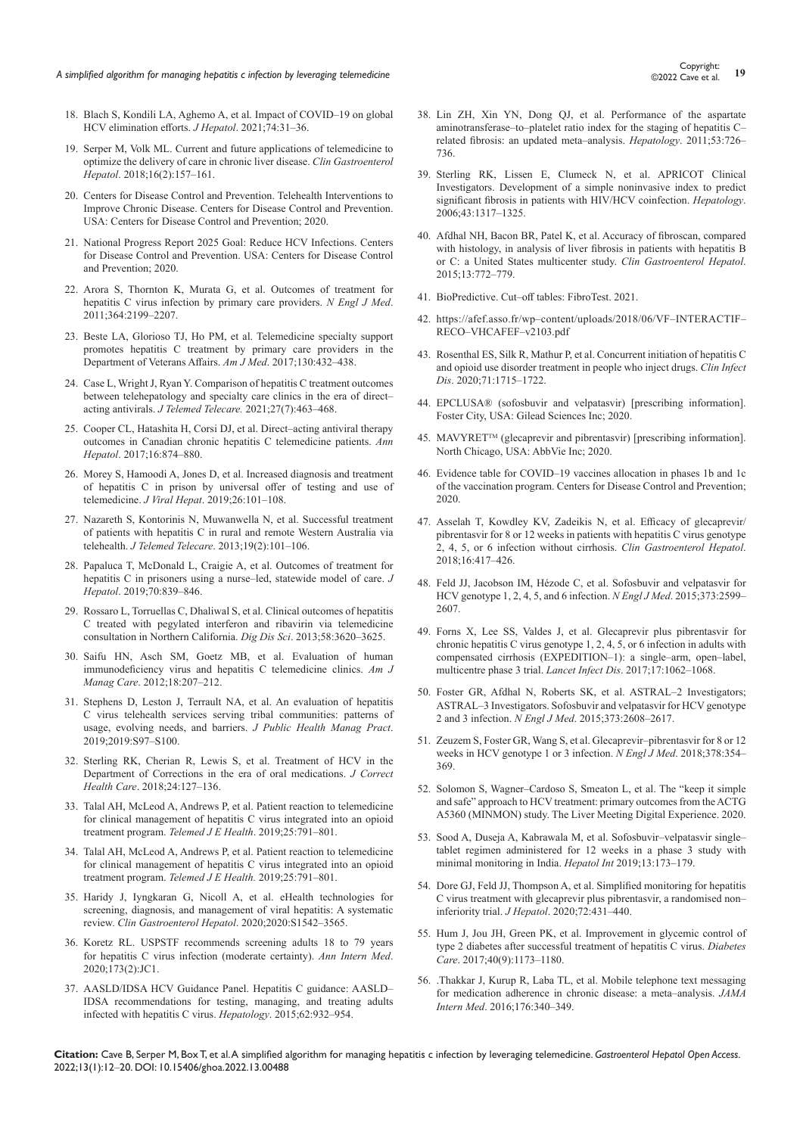- 18. [Blach S, Kondili LA, Aghemo A, et al. Impact of COVID–19 on global](https://pubmed.ncbi.nlm.nih.gov/32777322/)  [HCV elimination efforts.](https://pubmed.ncbi.nlm.nih.gov/32777322/) *J Hepatol*. 2021;74:31–36.
- 19. [Serper M, Volk ML. Current and future applications of telemedicine to](https://pubmed.ncbi.nlm.nih.gov/29389489/)  [optimize the delivery of care in chronic liver disease.](https://pubmed.ncbi.nlm.nih.gov/29389489/) *Clin Gastroenterol Hepatol*[. 2018;16\(2\):157–161.](https://pubmed.ncbi.nlm.nih.gov/29389489/)
- 20. [Centers for Disease Control and Prevention. Telehealth Interventions to](https://www.cdc.gov/dhdsp/pubs/telehealth.htm)  [Improve Chronic Disease. Centers for Disease Control and Prevention.](https://www.cdc.gov/dhdsp/pubs/telehealth.htm)  [USA: Centers for Disease Control and Prevention; 2020.](https://www.cdc.gov/dhdsp/pubs/telehealth.htm)
- 21. National Progress Report 2025 Goal: Reduce HCV Infections. Centers for Disease Control and Prevention. USA: Centers for Disease Control and Prevention; 2020.
- 22. [Arora S, Thornton K, Murata G, et al. Outcomes of treatment for](https://pubmed.ncbi.nlm.nih.gov/21631316/)  [hepatitis C virus infection by primary care providers.](https://pubmed.ncbi.nlm.nih.gov/21631316/) *N Engl J Med*. [2011;364:2199–2207.](https://pubmed.ncbi.nlm.nih.gov/21631316/)
- 23. [Beste LA, Glorioso TJ, Ho PM, et al. Telemedicine specialty support](https://pubmed.ncbi.nlm.nih.gov/27998682)  [promotes hepatitis C treatment by primary care providers in the](https://pubmed.ncbi.nlm.nih.gov/27998682)  [Department of Veterans Affairs.](https://pubmed.ncbi.nlm.nih.gov/27998682) *Am J Med*. 2017;130:432–438.
- 24. [Case L, Wright J, Ryan Y. Comparison of hepatitis C treatment outcomes](https://pubmed.ncbi.nlm.nih.gov/31810430/)  [between telehepatology and specialty care clinics in the era of direct–](https://pubmed.ncbi.nlm.nih.gov/31810430/) acting antivirals. *J Telemed Telecare.* [2021;27\(7\):463–468.](https://pubmed.ncbi.nlm.nih.gov/31810430/)
- 25. [Cooper CL, Hatashita H, Corsi DJ, et al. Direct–acting antiviral therapy](https://pubmed.ncbi.nlm.nih.gov/29055923/)  [outcomes in Canadian chronic hepatitis C telemedicine patients.](https://pubmed.ncbi.nlm.nih.gov/29055923/) *Ann Hepatol*[. 2017;16:874–880.](https://pubmed.ncbi.nlm.nih.gov/29055923/)
- 26. [Morey S, Hamoodi A, Jones D, et al. Increased diagnosis and treatment](https://pubmed.ncbi.nlm.nih.gov/30315691/)  [of hepatitis C in prison by universal offer of testing and use of](https://pubmed.ncbi.nlm.nih.gov/30315691/)  telemedicine. *J Viral Hepat*[. 2019;26:101–108.](https://pubmed.ncbi.nlm.nih.gov/30315691/)
- 27. [Nazareth S, Kontorinis N, Muwanwella N, et al. Successful treatment](https://pubmed.ncbi.nlm.nih.gov/23528788/)  [of patients with hepatitis C in rural and remote Western Australia via](https://pubmed.ncbi.nlm.nih.gov/23528788/)  telehealth. *J Telemed Telecare*[. 2013;19\(2\):101–106.](https://pubmed.ncbi.nlm.nih.gov/23528788/)
- 28. [Papaluca T, McDonald L, Craigie A, et al. Outcomes of treatment for](https://pubmed.ncbi.nlm.nih.gov/30654067/)  [hepatitis C in prisoners using a nurse–led, statewide model of care.](https://pubmed.ncbi.nlm.nih.gov/30654067/) *J Hepatol*[. 2019;70:839–846.](https://pubmed.ncbi.nlm.nih.gov/30654067/)
- 29. [Rossaro L, Torruellas C, Dhaliwal S, et al. Clinical outcomes of hepatitis](https://www.ncbi.nlm.nih.gov/labs/pmc/articles/PMC4591052/)  [C treated with pegylated interferon and ribavirin via telemedicine](https://www.ncbi.nlm.nih.gov/labs/pmc/articles/PMC4591052/)  [consultation in Northern California.](https://www.ncbi.nlm.nih.gov/labs/pmc/articles/PMC4591052/) *Dig Dis Sci*. 2013;58:3620–3625.
- 30. [Saifu HN, Asch SM, Goetz MB, et al. Evaluation of human](https://pubmed.ncbi.nlm.nih.gov/22554009/)  [immunodeficiency virus and hepatitis C telemedicine clinics.](https://pubmed.ncbi.nlm.nih.gov/22554009/) *Am J Manag Care*[. 2012;18:207–212.](https://pubmed.ncbi.nlm.nih.gov/22554009/)
- 31. [Stephens D, Leston J, Terrault NA, et al. An evaluation of hepatitis](https://pubmed.ncbi.nlm.nih.gov/31348196/)  [C virus telehealth services serving tribal communities: patterns of](https://pubmed.ncbi.nlm.nih.gov/31348196/)  [usage, evolving needs, and barriers.](https://pubmed.ncbi.nlm.nih.gov/31348196/) *J Public Health Manag Pract*. [2019;2019:S97–S100.](https://pubmed.ncbi.nlm.nih.gov/31348196/)
- 32. [Sterling RK, Cherian R, Lewis S, et al. Treatment of HCV in the](https://pubmed.ncbi.nlm.nih.gov/29566611)  [Department of Corrections in the era of oral medications.](https://pubmed.ncbi.nlm.nih.gov/29566611) *J Correct Health Care*[. 2018;24:127–136.](https://pubmed.ncbi.nlm.nih.gov/29566611)
- 33. [Talal AH, McLeod A, Andrews P, et al. Patient reaction to telemedicine](https://pubmed.ncbi.nlm.nih.gov/30325701/)  [for clinical management of hepatitis C virus integrated into an opioid](https://pubmed.ncbi.nlm.nih.gov/30325701/)  [treatment program.](https://pubmed.ncbi.nlm.nih.gov/30325701/) *Telemed J E Health*. 2019;25:791–801.
- 34. [Talal AH, McLeod A, Andrews P, et al. Patient reaction to telemedicine](https://pubmed.ncbi.nlm.nih.gov/30325701/)  [for clinical management of hepatitis C virus integrated into an opioid](https://pubmed.ncbi.nlm.nih.gov/30325701/)  treatment program. *[Telemed J E Health.](https://pubmed.ncbi.nlm.nih.gov/30325701/)* 2019;25:791–801.
- 35. [Haridy J, Iyngkaran G, Nicoll A, et al. eHealth technologies for](https://pubmed.ncbi.nlm.nih.gov/32896632/)  [screening, diagnosis, and management of viral hepatitis: A systematic](https://pubmed.ncbi.nlm.nih.gov/32896632/)  review. *[Clin Gastroenterol Hepatol](https://pubmed.ncbi.nlm.nih.gov/32896632/)*. 2020;2020:S1542–3565.
- 36. [Koretz RL. USPSTF recommends screening adults 18 to 79 years](https://pubmed.ncbi.nlm.nih.gov/32687755/)  [for hepatitis C virus infection \(moderate certainty\).](https://pubmed.ncbi.nlm.nih.gov/32687755/) *Ann Intern Med*. [2020;173\(2\):JC1.](https://pubmed.ncbi.nlm.nih.gov/32687755/)
- 37. [AASLD/IDSA HCV Guidance Panel. Hepatitis C guidance: AASLD–](https://pubmed.ncbi.nlm.nih.gov/26111063/) [IDSA recommendations for testing, managing, and treating adults](https://pubmed.ncbi.nlm.nih.gov/26111063/)  [infected with hepatitis C virus.](https://pubmed.ncbi.nlm.nih.gov/26111063/) *Hepatology*. 2015;62:932–954.
- 38. [Lin ZH, Xin YN, Dong QJ, et al. Performance of the aspartate](https://pubmed.ncbi.nlm.nih.gov/21319189/)  [aminotransferase–to–platelet ratio index for the staging of hepatitis C–](https://pubmed.ncbi.nlm.nih.gov/21319189/) [related fibrosis: an updated meta–analysis.](https://pubmed.ncbi.nlm.nih.gov/21319189/) *Hepatology*. 2011;53:726– [736.](https://pubmed.ncbi.nlm.nih.gov/21319189/)
- 39. [Sterling RK, Lissen E, Clumeck N, et al. APRICOT Clinical](https://pubmed.ncbi.nlm.nih.gov/16729309/)  [Investigators. Development of a simple noninvasive index to predict](https://pubmed.ncbi.nlm.nih.gov/16729309/)  [significant fibrosis in patients with HIV/HCV coinfection.](https://pubmed.ncbi.nlm.nih.gov/16729309/) *Hepatology*. [2006;43:1317–1325.](https://pubmed.ncbi.nlm.nih.gov/16729309/)
- 40. [Afdhal NH, Bacon BR, Patel K, et al. Accuracy of fibroscan, compared](https://pubmed.ncbi.nlm.nih.gov/25528010/)  [with histology, in analysis of liver fibrosis in patients with hepatitis B](https://pubmed.ncbi.nlm.nih.gov/25528010/)  [or C: a United States multicenter study.](https://pubmed.ncbi.nlm.nih.gov/25528010/) *Clin Gastroenterol Hepatol*. [2015;13:772–779.](https://pubmed.ncbi.nlm.nih.gov/25528010/)
- 41. [BioPredictive. Cut–off tables: FibroTest. 2021.](https://www.biopredictive.com/services/cutoff-tables/)
- 42. [https://afef.asso.fr/wp–content/uploads/2018/06/VF–INTERACTIF–](https://afef.asso.fr/wp-content/uploads/2018/06/VF-INTERACTIF-RECO-VHCAFEF-v2103.pdf) [RECO–VHCAFEF–](https://afef.asso.fr/wp-content/uploads/2018/06/VF-INTERACTIF-RECO-VHCAFEF-v2103.pdf)v2103.pdf
- 43. [Rosenthal ES, Silk R, Mathur P, et al. Concurrent initiation of hepatitis C](https://pubmed.ncbi.nlm.nih.gov/32009165/)  [and opioid use disorder treatment in people who inject drugs.](https://pubmed.ncbi.nlm.nih.gov/32009165/) *Clin Infect Dis*[. 2020;71:1715–1722.](https://pubmed.ncbi.nlm.nih.gov/32009165/)
- 44. EPCLUSA® (sofosbuvir and velpatasvir) [prescribing information]. Foster City, USA: Gilead Sciences Inc; 2020.
- 45. MAVYRET<sup>™</sup> (glecaprevir and pibrentasvir) [prescribing information]. North Chicago, USA: AbbVie Inc; 2020.
- 46. [Evidence table for COVID–19 vaccines allocation in phases 1b and 1c](file:///E:/dp/2022/January/29-1-2022/GHOA-13-00488/GHOA-21-RW-768_W/cdc.gov/vaccines/hcp/acip-recs/vacc-specific/covid-19/evidence-table-phase-1b-1c.html)  [of the vaccination program. Centers for Disease Control and Prevention;](file:///E:/dp/2022/January/29-1-2022/GHOA-13-00488/GHOA-21-RW-768_W/cdc.gov/vaccines/hcp/acip-recs/vacc-specific/covid-19/evidence-table-phase-1b-1c.html)  [2020.](file:///E:/dp/2022/January/29-1-2022/GHOA-13-00488/GHOA-21-RW-768_W/cdc.gov/vaccines/hcp/acip-recs/vacc-specific/covid-19/evidence-table-phase-1b-1c.html)
- 47. [Asselah T, Kowdley KV, Zadeikis N, et al. Efficacy of glecaprevir/](https://pubmed.ncbi.nlm.nih.gov/28951228) [pibrentasvir for 8 or 12 weeks in patients with hepatitis C virus genotype](https://pubmed.ncbi.nlm.nih.gov/28951228)  [2, 4, 5, or 6 infection without cirrhosis.](https://pubmed.ncbi.nlm.nih.gov/28951228) *Clin Gastroenterol Hepatol*. [2018;16:417–426.](https://pubmed.ncbi.nlm.nih.gov/28951228)
- 48. [Feld JJ, Jacobson IM, Hézode C, et al. Sofosbuvir and velpatasvir for](https://pubmed.ncbi.nlm.nih.gov/26571066/)  [HCV genotype 1, 2, 4, 5, and 6 infection.](https://pubmed.ncbi.nlm.nih.gov/26571066/) *N Engl J Med*. 2015;373:2599– [2607.](https://pubmed.ncbi.nlm.nih.gov/26571066/)
- 49. [Forns X, Lee SS, Valdes J, et al. Glecaprevir plus pibrentasvir for](https://pubmed.ncbi.nlm.nih.gov/28818546/)  [chronic hepatitis C virus genotype 1, 2, 4, 5, or 6 infection in adults with](https://pubmed.ncbi.nlm.nih.gov/28818546/)  [compensated cirrhosis \(EXPEDITION–1\): a single–arm, open–label,](https://pubmed.ncbi.nlm.nih.gov/28818546/)  [multicentre phase 3 trial.](https://pubmed.ncbi.nlm.nih.gov/28818546/) *Lancet Infect Dis*. 2017;17:1062–1068.
- 50. [Foster GR, Afdhal N, Roberts SK, et al. ASTRAL–2 Investigators;](https://europepmc.org/article/MED/26575258)  [ASTRAL–3 Investigators. Sofosbuvir and velpatasvir for HCV genotype](https://europepmc.org/article/MED/26575258)  2 and 3 infection. *N Engl J Med*[. 2015;373:2608–2617.](https://europepmc.org/article/MED/26575258)
- 51. [Zeuzem S, Foster GR, Wang S, et al. Glecaprevir–pibrentasvir for 8 or 12](https://pubmed.ncbi.nlm.nih.gov/29365309/)  [weeks in HCV genotype 1 or 3 infection.](https://pubmed.ncbi.nlm.nih.gov/29365309/) *N Engl J Med*. 2018;378:354– [369.](https://pubmed.ncbi.nlm.nih.gov/29365309/)
- 52. Solomon S, Wagner–Cardoso S, Smeaton L, et al. The "keep it simple and safe" approach to HCV treatment: primary outcomes from the ACTG A5360 (MINMON) study. The Liver Meeting Digital Experience. 2020.
- 53. [Sood A, Duseja A, Kabrawala M, et al. Sofosbuvir–velpatasvir single–](https://pubmed.ncbi.nlm.nih.gov/30790229/) [tablet regimen administered for 12 weeks in a phase 3 study with](https://pubmed.ncbi.nlm.nih.gov/30790229/)  [minimal monitoring in India.](https://pubmed.ncbi.nlm.nih.gov/30790229/) *Hepatol Int* 2019;13:173–179.
- 54. [Dore GJ, Feld JJ, Thompson A, et al. Simplified monitoring for hepatitis](https://pubmed.ncbi.nlm.nih.gov/31655134/)  [C virus treatment with glecaprevir plus pibrentasvir, a randomised non–](https://pubmed.ncbi.nlm.nih.gov/31655134/) inferiority trial. *J Hepatol*[. 2020;72:431–440.](https://pubmed.ncbi.nlm.nih.gov/31655134/)
- 55. [Hum J, Jou JH, Green PK, et al. Improvement in glycemic control of](https://pubmed.ncbi.nlm.nih.gov/28659309/)  [type 2 diabetes after successful treatment of hepatitis C virus.](https://pubmed.ncbi.nlm.nih.gov/28659309/) *Diabetes Care*[. 2017;40\(9\):1173–1180.](https://pubmed.ncbi.nlm.nih.gov/28659309/)
- 56. .[Thakkar J, Kurup R, Laba TL, et al. Mobile telephone text messaging](https://pubmed.ncbi.nlm.nih.gov/26831740/)  [for medication adherence in chronic disease: a meta–analysis.](https://pubmed.ncbi.nlm.nih.gov/26831740/) *JAMA Intern Med*[. 2016;176:340–349.](https://pubmed.ncbi.nlm.nih.gov/26831740/)